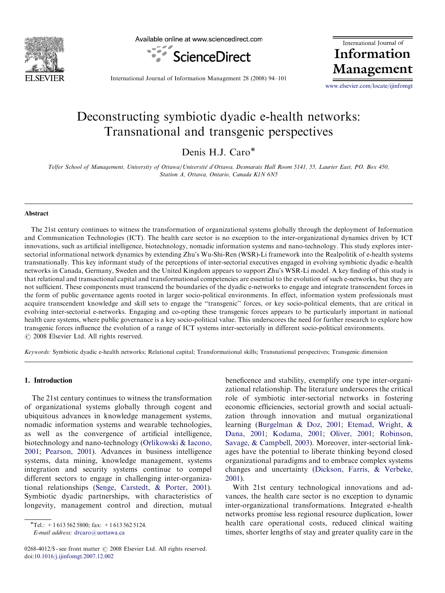

Available online at www.sciencedirect.com



International Journal of **Information** Management

International Journal of Information Management 28 (2008) 94–101

<www.elsevier.com/locate/ijinfomgt>

# Deconstructing symbiotic dyadic e-health networks: Transnational and transgenic perspectives

Denis H.J. Caro\*

Telfer School of Management, University of Ottawa/Universite´ d'Ottawa, Desmarais Hall Room 5141, 55, Laurier East, PO. Box 450, Station A, Ottawa, Ontario, Canada K1N 6N5

#### Abstract

The 21st century continues to witness the transformation of organizational systems globally through the deployment of Information and Communication Technologies (ICT). The health care sector is no exception to the inter-organizational dynamics driven by ICT innovations, such as artificial intelligence, biotechnology, nomadic information systems and nano-technology. This study explores intersectorial informational network dynamics by extending Zhu's Wu-Shi-Ren (WSR)-Li framework into the Realpolitik of e-health systems transnationally. This key informant study of the perceptions of inter-sectorial executives engaged in evolving symbiotic dyadic e-health networks in Canada, Germany, Sweden and the United Kingdom appears to support Zhu's WSR-Li model. A key finding of this study is that relational and transactional capital and transformational competencies are essential to the evolution of such e-networks, but they are not sufficient. These components must transcend the boundaries of the dyadic e-networks to engage and integrate transcendent forces in the form of public governance agents rooted in larger socio-political environments. In effect, information system professionals must acquire transcendent knowledge and skill sets to engage the ''transgenic'' forces, or key socio-political elements, that are critical in evolving inter-sectorial e-networks. Engaging and co-opting these transgenic forces appears to be particularly important in national health care systems, where public governance is a key socio-political value. This underscores the need for further research to explore how transgenic forces influence the evolution of a range of ICT systems inter-sectorially in different socio-political environments.  $\odot$  2008 Elsevier Ltd. All rights reserved.

Keywords: Symbiotic dyadic e-health networks; Relational capital; Transformational skills; Transnational perspectives; Transgenic dimension

#### 1. Introduction

The 21st century continues to witness the transformation of organizational systems globally through cogent and ubiquitous advances in knowledge management systems, nomadic information systems and wearable technologies, as well as the convergence of artificial intelligence, biotechnology and nano-technology ([Orlikowski](#page--1-0) & [Iacono,](#page--1-0) [2001;](#page--1-0) [Pearson, 2001](#page--1-0)). Advances in business intelligence systems, data mining, knowledge management, systems integration and security systems continue to compel different sectors to engage in challenging inter-organizational relationships [\(Senge, Carstedt, & Porter, 2001\)](#page--1-0). Symbiotic dyadic partnerships, with characteristics of longevity, management control and direction, mutual

E-mail address: [drcaro@uottawa.ca](mailto:drcaro@uottawa.ca)

 $0268-4012/\$  - see front matter  $\odot$  2008 Elsevier Ltd. All rights reserved. doi:[10.1016/j.ijinfomgt.2007.12.002](dx.doi.org/10.1016/j.ijinfomgt.2007.12.002)

beneficence and stability, exemplify one type inter-organizational relationship. The literature underscores the critical role of symbiotic inter-sectorial networks in fostering economic efficiencies, sectorial growth and social actualization through innovation and mutual organizational learning [\(Burgelman & Doz, 2001](#page--1-0); [Etemad, Wright,](#page--1-0) & [Dana, 2001](#page--1-0); [Kodama, 2001](#page--1-0); [Oliver, 2001](#page--1-0); [Robinson,](#page--1-0) [Savage,](#page--1-0) & [Campbell, 2003](#page--1-0)). Moreover, inter-sectorial linkages have the potential to liberate thinking beyond closed organizational paradigms and to embrace complex systems changes and uncertainty ([Dickson, Farris, & Verbeke,](#page--1-0) [2001\)](#page--1-0).

With 21st century technological innovations and advances, the health care sector is no exception to dynamic inter-organizational transformations. Integrated e-health networks promise less regional resource duplication, lower health care operational costs, reduced clinical waiting times, shorter lengths of stay and greater quality care in the

 $\overline{\text{F}T}$ el.: +1 613 562 5800; fax: +1 613 562 5124.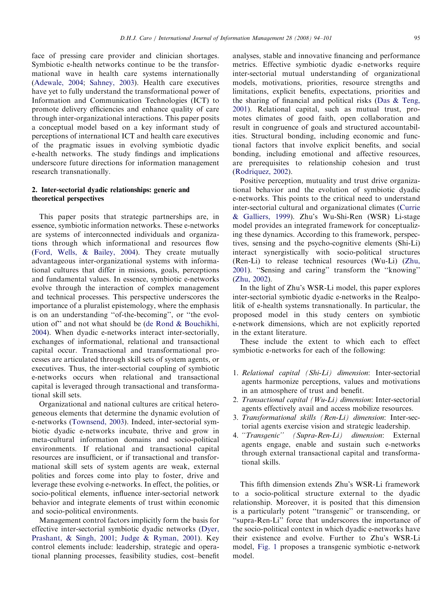face of pressing care provider and clinician shortages. Symbiotic e-health networks continue to be the transformational wave in health care systems internationally ([Adewale, 2004](#page--1-0); [Sahney, 2003\)](#page--1-0). Health care executives have yet to fully understand the transformational power of Information and Communication Technologies (ICT) to promote delivery efficiencies and enhance quality of care through inter-organizational interactions. This paper posits a conceptual model based on a key informant study of perceptions of international ICT and health care executives of the pragmatic issues in evolving symbiotic dyadic e-health networks. The study findings and implications underscore future directions for information management research transnationally.

### 2. Inter-sectorial dyadic relationships: generic and theoretical perspectives

This paper posits that strategic partnerships are, in essence, symbiotic information networks. These e-networks are systems of interconnected individuals and organizations through which informational and resources flow ([Ford, Wells,](#page--1-0) [& Bailey, 2004](#page--1-0)). They create mutually advantageous inter-organizational systems with informational cultures that differ in missions, goals, perceptions and fundamental values. In essence, symbiotic e-networks evolve through the interaction of complex management and technical processes. This perspective underscores the importance of a pluralist epistemology, where the emphasis is on an understanding ''of-the-becoming'', or ''the evolution of'' and not what should be [\(de Rond & Bouchikhi,](#page--1-0) [2004](#page--1-0)). When dyadic e-networks interact inter-sectorially, exchanges of informational, relational and transactional capital occur. Transactional and transformational processes are articulated through skill sets of system agents, or executives. Thus, the inter-sectorial coupling of symbiotic e-networks occurs when relational and transactional capital is leveraged through transactional and transformational skill sets.

Organizational and national cultures are critical heterogeneous elements that determine the dynamic evolution of e-networks [\(Townsend, 2003](#page--1-0)). Indeed, inter-sectorial symbiotic dyadic e-networks incubate, thrive and grow in meta-cultural information domains and socio-political environments. If relational and transactional capital resources are insufficient, or if transactional and transformational skill sets of system agents are weak, external polities and forces come into play to foster, drive and leverage these evolving e-networks. In effect, the polities, or socio-political elements, influence inter-sectorial network behavior and integrate elements of trust within economic and socio-political environments.

Management control factors implicitly form the basis for effective inter-sectorial symbiotic dyadic networks [\(Dyer,](#page--1-0) [Prashant, & Singh, 2001;](#page--1-0) [Judge](#page--1-0) & [Ryman, 2001\)](#page--1-0). Key control elements include: leadership, strategic and operational planning processes, feasibility studies, cost–benefit analyses, stable and innovative financing and performance metrics. Effective symbiotic dyadic e-networks require inter-sectorial mutual understanding of organizational models, motivations, priorities, resource strengths and limitations, explicit benefits, expectations, priorities and the sharing of financial and political risks ([Das](#page--1-0) [& Teng,](#page--1-0) [2001](#page--1-0)). Relational capital, such as mutual trust, promotes climates of good faith, open collaboration and result in congruence of goals and structured accountabilities. Structural bonding, including economic and functional factors that involve explicit benefits, and social bonding, including emotional and affective resources, are prerequisites to relationship cohesion and trust ([Rodriquez, 2002\)](#page--1-0).

Positive perception, mutuality and trust drive organizational behavior and the evolution of symbiotic dyadic e-networks. This points to the critical need to understand inter-sectorial cultural and organizational climates [\(Currie](#page--1-0) [& Galliers, 1999\)](#page--1-0). Zhu's Wu-Shi-Ren (WSR) Li-stage model provides an integrated framework for conceptualizing these dynamics. According to this framework, perspectives, sensing and the psycho-cognitive elements (Shi-Li) interact synergistically with socio-political structures (Ren-Li) to release technical resources (Wu-Li) [\(Zhu,](#page--1-0) [2001](#page--1-0)). ''Sensing and caring'' transform the ''knowing'' ([Zhu, 2002\)](#page--1-0).

In the light of Zhu's WSR-Li model, this paper explores inter-sectorial symbiotic dyadic e-networks in the Realpolitik of e-health systems transnationally. In particular, the proposed model in this study centers on symbiotic e-network dimensions, which are not explicitly reported in the extant literature.

These include the extent to which each to effect symbiotic e-networks for each of the following:

- 1. Relational capital (Shi-Li) dimension: Inter-sectorial agents harmonize perceptions, values and motivations in an atmosphere of trust and benefit.
- 2. Transactional capital (Wu-Li) dimension: Inter-sectorial agents effectively avail and access mobilize resources.
- 3. Transformational skills (Ren-Li) dimension: Inter-sectorial agents exercise vision and strategic leadership.
- 4. ''Transgenic'' (Supra-Ren-Li) dimension: External agents engage, enable and sustain such e-networks through external transactional capital and transformational skills.

This fifth dimension extends Zhu's WSR-Li framework to a socio-political structure external to the dyadic relationship. Moreover, it is posited that this dimension is a particularly potent ''transgenic'' or transcending, or ''supra-Ren-Li'' force that underscores the importance of the socio-political context in which dyadic e-networks have their existence and evolve. Further to Zhu's WSR-Li model, [Fig. 1](#page--1-0) proposes a transgenic symbiotic e-network model.